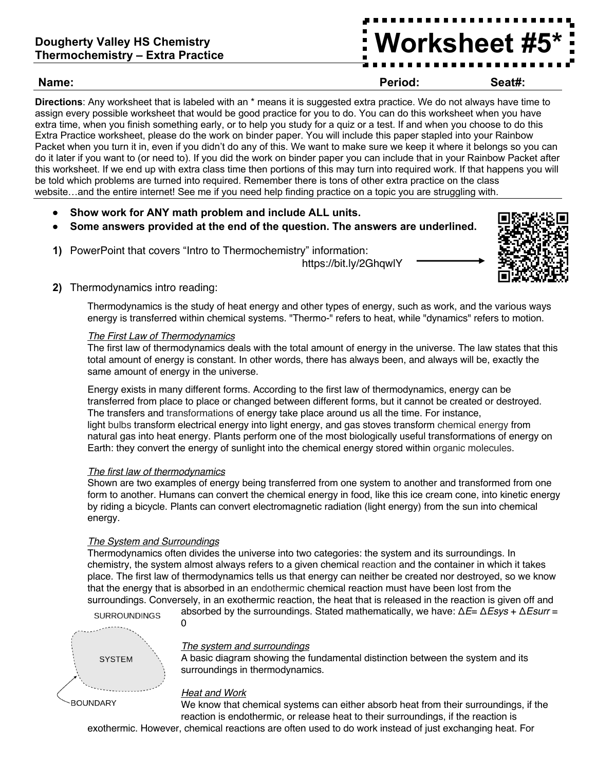# **Dougherty Valley HS Chemistry Thermochemistry – Extra Practice**

# **Name: Period: Seat#:**

**Directions**: Any worksheet that is labeled with an \* means it is suggested extra practice. We do not always have time to assign every possible worksheet that would be good practice for you to do. You can do this worksheet when you have extra time, when you finish something early, or to help you study for a quiz or a test. If and when you choose to do this Extra Practice worksheet, please do the work on binder paper. You will include this paper stapled into your Rainbow Packet when you turn it in, even if you didn't do any of this. We want to make sure we keep it where it belongs so you can do it later if you want to (or need to). If you did the work on binder paper you can include that in your Rainbow Packet after this worksheet. If we end up with extra class time then portions of this may turn into required work. If that happens you will be told which problems are turned into required. Remember there is tons of other extra practice on the class website…and the entire internet! See me if you need help finding practice on a topic you are struggling with.

- **Show work for ANY math problem and include ALL units.**
- **Some answers provided at the end of the question. The answers are underlined.**
- **1)** PowerPoint that covers "Intro to Thermochemistry" information:

https://bit.ly/2GhqwlY



**Worksheet #5\***

# **2)** Thermodynamics intro reading:

Thermodynamics is the study of heat energy and other types of energy, such as work, and the various ways energy is transferred within chemical systems. "Thermo-" refers to heat, while "dynamics" refers to motion.

#### *The First Law of Thermodynamics*

The first law of thermodynamics deals with the total amount of energy in the universe. The law states that this total amount of energy is constant. In other words, there has always been, and always will be, exactly the same amount of energy in the universe.

Energy exists in many different forms. According to the first law of thermodynamics, energy can be transferred from place to place or changed between different forms, but it cannot be created or destroyed. The transfers and transformations of energy take place around us all the time. For instance, light bulbs transform electrical energy into light energy, and gas stoves transform chemical energy from natural gas into heat energy. Plants perform one of the most biologically useful transformations of energy on Earth: they convert the energy of sunlight into the chemical energy stored within organic molecules.

#### *The first law of thermodynamics*

Shown are two examples of energy being transferred from one system to another and transformed from one form to another. Humans can convert the chemical energy in food, like this ice cream cone, into kinetic energy by riding a bicycle. Plants can convert electromagnetic radiation (light energy) from the sun into chemical energy.

#### *The System and Surroundings*

Thermodynamics often divides the universe into two categories: the system and its surroundings. In chemistry, the system almost always refers to a given chemical reaction and the container in which it takes place. The first law of thermodynamics tells us that energy can neither be created nor destroyed, so we know that the energy that is absorbed in an endothermic chemical reaction must have been lost from the surroundings. Conversely, in an exothermic reaction, the heat that is released in the reaction is given off and absorbed by the surroundings. Stated mathematically, we have: Δ*E*= Δ*Esys* + Δ*Esurr* =

**SURROUNDINGS** 



#### *The system and surroundings*

A basic diagram showing the fundamental distinction between the system and its surroundings in thermodynamics.

### **BOUNDARY**

### *Heat and Work*

 $\Omega$ 

We know that chemical systems can either absorb heat from their surroundings, if the reaction is endothermic, or release heat to their surroundings, if the reaction is

exothermic. However, chemical reactions are often used to do work instead of just exchanging heat. For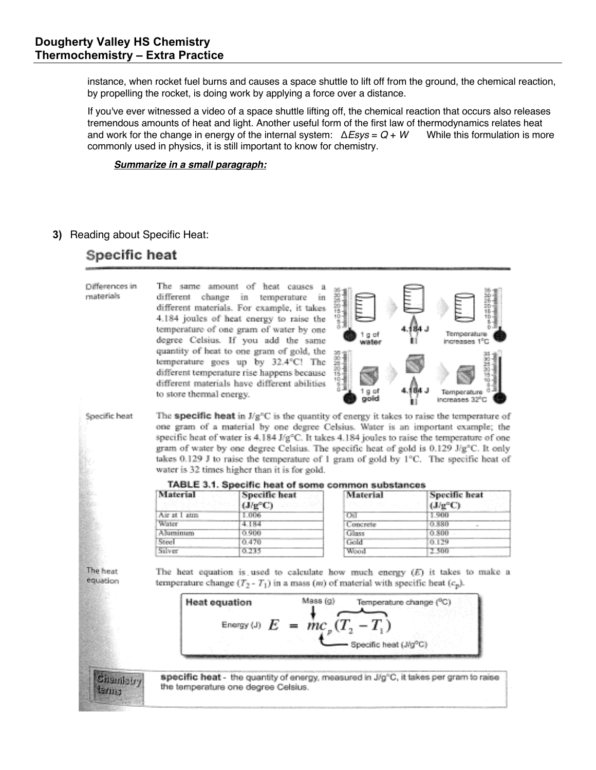instance, when rocket fuel burns and causes a space shuttle to lift off from the ground, the chemical reaction, by propelling the rocket, is doing work by applying a force over a distance.

If you've ever witnessed a video of a space shuttle lifting off, the chemical reaction that occurs also releases tremendous amounts of heat and light. Another useful form of the first law of thermodynamics relates heat and work for the change in energy of the internal system:  $\triangle Esys = Q + W$  While this formulation is more and work for the change in energy of the internal system:  $\triangle Esys = Q + W$ commonly used in physics, it is still important to know for chemistry.

#### *Summarize in a small paragraph:*

#### **3)** Reading about Specific Heat:

# Specific heat

| Differences in<br>materials              | to store thermal energy.                                                                                                                                                                                                                                                                                                                                                                                                                                                                                                                                                                                                                    | The same amount of heat causes a<br>different change in temperature<br>in<br>different materials. For example, it takes<br>4.184 joules of heat energy to raise the<br>temperature of one gram of water by one<br>degree Celsius. If you add the same<br>quantity of heat to one gram of gold, the<br>temperature goes up by 32.4°C! The<br>different temperature rise happens because<br>different materials have different abilities | 1841年1月1日<br>g af<br>water<br><b>38888</b><br>t۵<br>gold      | 184 J<br>Temperature<br>increases 1°C<br>Temperature<br>increases 32°C          |  |
|------------------------------------------|---------------------------------------------------------------------------------------------------------------------------------------------------------------------------------------------------------------------------------------------------------------------------------------------------------------------------------------------------------------------------------------------------------------------------------------------------------------------------------------------------------------------------------------------------------------------------------------------------------------------------------------------|----------------------------------------------------------------------------------------------------------------------------------------------------------------------------------------------------------------------------------------------------------------------------------------------------------------------------------------------------------------------------------------------------------------------------------------|---------------------------------------------------------------|---------------------------------------------------------------------------------|--|
| Specific heat                            | The <b>specific heat</b> in $J/g^{\circ}C$ is the quantity of energy it takes to raise the temperature of<br>one gram of a material by one degree Celsius. Water is an important example; the<br>specific heat of water is $4.184 \text{ J/g}^{\circ}\text{C}$ . It takes $4.184$ joules to raise the temperature of one<br>gram of water by one degree Celsius. The specific heat of gold is 0.129 J/g <sup>o</sup> C. It only<br>takes $0.129$ J to raise the temperature of 1 gram of gold by $1^{\circ}$ C. The specific heat of<br>water is 32 times higher than it is for gold.<br>TABLE 3.1. Specific heat of some common substances |                                                                                                                                                                                                                                                                                                                                                                                                                                        |                                                               |                                                                                 |  |
|                                          | Material                                                                                                                                                                                                                                                                                                                                                                                                                                                                                                                                                                                                                                    | Specific heat                                                                                                                                                                                                                                                                                                                                                                                                                          | Material                                                      | Specific heat                                                                   |  |
|                                          | Air at 1 atm                                                                                                                                                                                                                                                                                                                                                                                                                                                                                                                                                                                                                                | $(J/q^{\circ}C)$<br>1.006                                                                                                                                                                                                                                                                                                                                                                                                              | <b>Oil</b>                                                    | $(J/q^{\circ}C)$<br>1.900                                                       |  |
|                                          | Water                                                                                                                                                                                                                                                                                                                                                                                                                                                                                                                                                                                                                                       | 4.184                                                                                                                                                                                                                                                                                                                                                                                                                                  | Concrete                                                      | 0.880                                                                           |  |
|                                          | Aluminum                                                                                                                                                                                                                                                                                                                                                                                                                                                                                                                                                                                                                                    | 0.900                                                                                                                                                                                                                                                                                                                                                                                                                                  | Glass                                                         | 0.800                                                                           |  |
|                                          | Steel                                                                                                                                                                                                                                                                                                                                                                                                                                                                                                                                                                                                                                       | 0.470                                                                                                                                                                                                                                                                                                                                                                                                                                  | Gold                                                          | 0.129                                                                           |  |
|                                          | Silver                                                                                                                                                                                                                                                                                                                                                                                                                                                                                                                                                                                                                                      | 0.235                                                                                                                                                                                                                                                                                                                                                                                                                                  | Wood                                                          | 2.500                                                                           |  |
|                                          |                                                                                                                                                                                                                                                                                                                                                                                                                                                                                                                                                                                                                                             |                                                                                                                                                                                                                                                                                                                                                                                                                                        |                                                               |                                                                                 |  |
| The heat<br>equation<br>Chambiry<br>tams | <b>Heat equation</b><br>the temperature one degree Celsius.                                                                                                                                                                                                                                                                                                                                                                                                                                                                                                                                                                                 | temperature change $(T_2 - T_1)$ in a mass ( <i>m</i> ) of material with specific heat $(c_p)$ .<br>Mass (g)<br>Energy (J) $E = mc_p (T_2 - T_1)$<br>specific heat - the quantity of energy, measured in J/g°C, it takes per gram to raise                                                                                                                                                                                             | Temperature change (°C)<br>Specific heat (J/g <sup>o</sup> C) | The heat equation is used to calculate how much energy $(E)$ it takes to make a |  |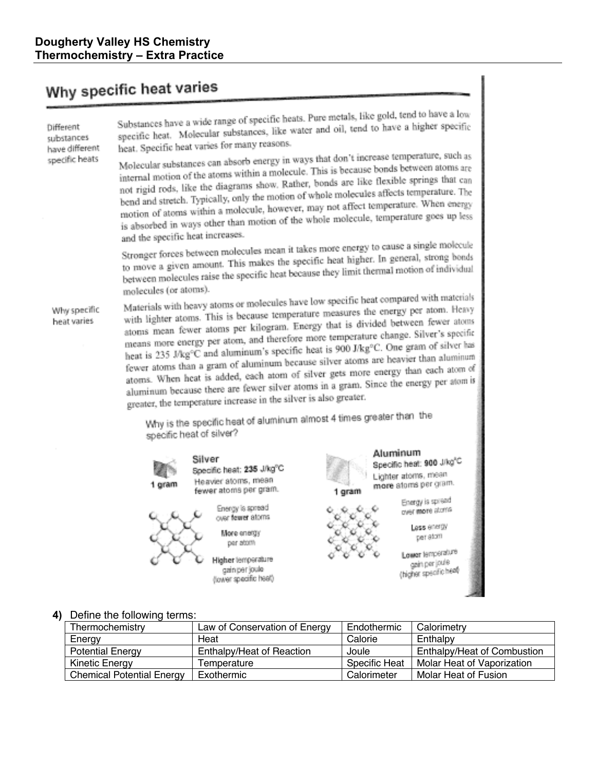# Why specific heat varies

Different substances have different specific heats

Substances have a wide range of specific heats. Pure metals, like gold, tend to have a low specific heat. Molecular substances, like water and oil, tend to have a higher specific heat. Specific heat varies for many reasons.

Molecular substances can absorb energy in ways that don't increase temperature, such as internal motion of the atoms within a molecule. This is because bonds between atoms are not rigid rods, like the diagrams show. Rather, bonds are like flexible springs that can bend and stretch. Typically, only the motion of whole molecules affects temperature. The motion of atoms within a molecule, however, may not affect temperature. When energy is absorbed in ways other than motion of the whole molecule, temperature goes up less and the specific heat increases.

Stronger forces between molecules mean it takes more energy to cause a single molecule to move a given amount. This makes the specific heat higher. In general, strong bonds between molecules raise the specific heat because they limit thermal motion of individual molecules (or atoms).

Why specific heat varies

Materials with heavy atoms or molecules have low specific heat compared with materials with lighter atoms. This is because temperature measures the energy per atom. Heavy atoms mean fewer atoms per kilogram. Energy that is divided between fewer atoms means more energy per atom, and therefore more temperature change. Silver's specific heat is 235 J/kg°C and aluminum's specific heat is 900 J/kg°C. One gram of silver has fewer atoms than a gram of aluminum because silver atoms are beavier than aluminum atoms. When heat is added, each atom of silver gets more energy than each atom of aluminum because there are fewer silver atoms in a gram. Since the energy per atom is greater, the temperature increase in the silver is also greater.

Why is the specific heat of aluminum almost 4 times greater than the specific heat of silver?



Silver Specific heat: 235 J/kg°C Heavier atoms, mean fewer atoms per gram.

Energy is spread over fewer atoms More energy

per atom Higher lemperature

gain per joule



1 gram

100

 $\widehat{\mathbf{x}}_{\mathbf{0}}$ 

r  $\psi^0$ 

Aluminum Specific heat: 900 J/kg<sup>LC</sup> Lighter atoms, mean more atoms per gram. Energy is spread enderen.<br>Street over more storrs

Less energy per atom

Lower temperature gein per jouie (higher specific heat)

#### 4) Define the following terms:

| Thermochemistry                  | Law of Conservation of Energy | Endothermic          | Calorimetry                        |
|----------------------------------|-------------------------------|----------------------|------------------------------------|
| Energy                           | Heat                          | Calorie              | Enthalpy                           |
| <b>Potential Energy</b>          | Enthalpy/Heat of Reaction     | Joule                | <b>Enthalpy/Heat of Combustion</b> |
| <b>Kinetic Energy</b>            | Temperature                   | <b>Specific Heat</b> | Molar Heat of Vaporization         |
| <b>Chemical Potential Energy</b> | Exothermic                    | Calorimeter          | Molar Heat of Fusion               |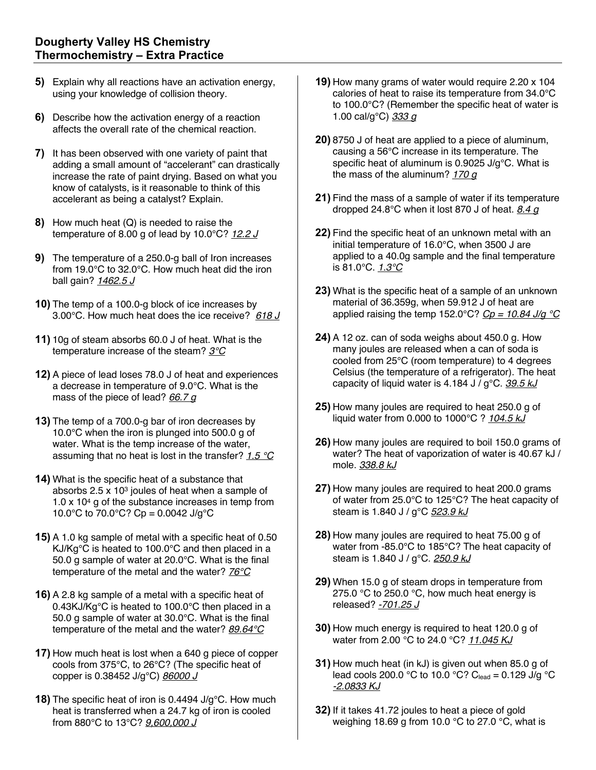- **5)** Explain why all reactions have an activation energy. using your knowledge of collision theory.
- **6)** Describe how the activation energy of a reaction affects the overall rate of the chemical reaction.
- **7)** It has been observed with one variety of paint that adding a small amount of "accelerant" can drastically increase the rate of paint drying. Based on what you know of catalysts, is it reasonable to think of this accelerant as being a catalyst? Explain.
- **8)** How much heat (Q) is needed to raise the temperature of 8.00 g of lead by 10.0°C? *12.2 J*
- **9)** The temperature of a 250.0-g ball of Iron increases from 19.0°C to 32.0°C. How much heat did the iron ball gain? *1462.5 J*
- **10)** The temp of a 100.0-g block of ice increases by 3.00°C. How much heat does the ice receive? *618 J*
- **11)** 10g of steam absorbs 60.0 J of heat. What is the temperature increase of the steam? *3°C*
- **12)** A piece of lead loses 78.0 J of heat and experiences a decrease in temperature of 9.0°C. What is the mass of the piece of lead? *66.7 g*
- **13)** The temp of a 700.0-g bar of iron decreases by 10.0°C when the iron is plunged into 500.0 g of water. What is the temp increase of the water, assuming that no heat is lost in the transfer? *1.5 °C*
- **14)** What is the specific heat of a substance that absorbs  $2.5 \times 10^3$  joules of heat when a sample of 1.0 x 104 g of the substance increases in temp from 10.0°C to 70.0°C? Cp = 0.0042 J/g°C
- **15)** A 1.0 kg sample of metal with a specific heat of 0.50 KJ/Kg°C is heated to 100.0°C and then placed in a 50.0 g sample of water at 20.0°C. What is the final temperature of the metal and the water? *76°C*
- **16)** A 2.8 kg sample of a metal with a specific heat of 0.43KJ/Kg°C is heated to 100.0°C then placed in a 50.0 g sample of water at 30.0°C. What is the final temperature of the metal and the water? *89.64°C*
- **17)** How much heat is lost when a 640 g piece of copper cools from 375°C, to 26°C? (The specific heat of copper is 0.38452 J/g°C) *86000 J*
- **18)** The specific heat of iron is 0.4494 J/g°C. How much heat is transferred when a 24.7 kg of iron is cooled from 880°C to 13°C? *9,600,000 J*
- **19)** How many grams of water would require 2.20 x 104 calories of heat to raise its temperature from 34.0°C to 100.0°C? (Remember the specific heat of water is 1.00 cal/g°C) *333 g*
- **20)** 8750 J of heat are applied to a piece of aluminum, causing a 56°C increase in its temperature. The specific heat of aluminum is 0.9025 J/g°C. What is the mass of the aluminum? *170 g*
- **21)** Find the mass of a sample of water if its temperature dropped 24.8°C when it lost 870 J of heat. *8.4 g*
- **22)** Find the specific heat of an unknown metal with an initial temperature of 16.0°C, when 3500 J are applied to a 40.0g sample and the final temperature is 81.0°C. *1.3°C*
- **23)** What is the specific heat of a sample of an unknown material of 36.359g, when 59.912 J of heat are applied raising the temp 152.0°C? *Cp = 10.84 J/g °C*
- **24)** A 12 oz. can of soda weighs about 450.0 g. How many joules are released when a can of soda is cooled from 25°C (room temperature) to 4 degrees Celsius (the temperature of a refrigerator). The heat capacity of liquid water is 4.184 J / g°C. *39.5 kJ*
- **25)** How many joules are required to heat 250.0 g of liquid water from 0.000 to 1000°C ? *104.5 kJ*
- **26)** How many joules are required to boil 150.0 grams of water? The heat of vaporization of water is 40.67 kJ / mole. *338.8 kJ*
- **27)** How many joules are required to heat 200.0 grams of water from 25.0°C to 125°C? The heat capacity of steam is 1.840 J / g°C *523.9 kJ*
- **28)** How many joules are required to heat 75.00 g of water from -85.0°C to 185°C? The heat capacity of steam is 1.840 J / g°C. *250.9 kJ*
- **29)** When 15.0 g of steam drops in temperature from 275.0 °C to 250.0 °C, how much heat energy is released? *-701.25 J*
- **30)** How much energy is required to heat 120.0 g of water from 2.00 °C to 24.0 °C? *11.045 KJ*
- **31)** How much heat (in kJ) is given out when 85.0 g of lead cools 200.0 °C to 10.0 °C? C<sub>lead</sub> = 0.129 J/g °C *-2.0833 KJ*
- **32)** If it takes 41.72 joules to heat a piece of gold weighing 18.69 g from 10.0 °C to 27.0 °C, what is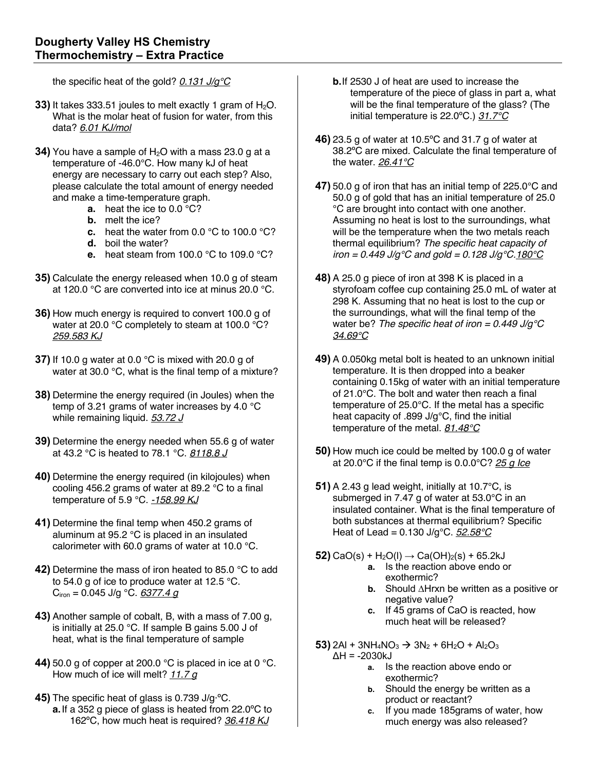the specific heat of the gold? *0.131 J/g°C*

- **33)** It takes 333.51 joules to melt exactly 1 gram of H<sub>2</sub>O. What is the molar heat of fusion for water, from this data? *6.01 KJ/mol*
- **34)** You have a sample of H<sub>2</sub>O with a mass 23.0 g at a temperature of -46.0°C. How many kJ of heat energy are necessary to carry out each step? Also, please calculate the total amount of energy needed and make a time-temperature graph.
	- **a.** heat the ice to 0.0 °C?
	- **b.** melt the ice?
	- **c.** heat the water from 0.0 °C to 100.0 °C?
	- **d.** boil the water?
	- **e.** heat steam from 100.0 °C to 109.0 °C?
- **35)** Calculate the energy released when 10.0 g of steam at 120.0 °C are converted into ice at minus 20.0 °C.
- **36)** How much energy is required to convert 100.0 g of water at 20.0 °C completely to steam at 100.0 °C? *259.583 KJ*
- **37)** If 10.0 g water at 0.0 °C is mixed with 20.0 g of water at 30.0 °C, what is the final temp of a mixture?
- **38)** Determine the energy required (in Joules) when the temp of 3.21 grams of water increases by 4.0 °C while remaining liquid. *53.72 J*
- **39)** Determine the energy needed when 55.6 g of water at 43.2 °C is heated to 78.1 °C. *8118.8 J*
- **40)** Determine the energy required (in kilojoules) when cooling 456.2 grams of water at 89.2 °C to a final temperature of 5.9 °C. *-158.99 KJ*
- **41)** Determine the final temp when 450.2 grams of aluminum at 95.2 °C is placed in an insulated calorimeter with 60.0 grams of water at 10.0 °C.
- **42)** Determine the mass of iron heated to 85.0 °C to add to 54.0 g of ice to produce water at 12.5 °C. Ciron = 0.045 J/g °C. *6377.4 g*
- **43)** Another sample of cobalt, B, with a mass of 7.00 g, is initially at 25.0 °C. If sample B gains 5.00 J of heat, what is the final temperature of sample
- **44)** 50.0 g of copper at 200.0 °C is placed in ice at 0 °C. How much of ice will melt? *11.7 g*
- **45)** The specific heat of glass is 0.739 J/g·ºC. **a.**If a 352 g piece of glass is heated from 22.0ºC to 162ºC, how much heat is required? *36.418 KJ*
- **b.**If 2530 J of heat are used to increase the temperature of the piece of glass in part a, what will be the final temperature of the glass? (The initial temperature is 22.0ºC.) *31.7°C*
- **46)** 23.5 g of water at 10.5ºC and 31.7 g of water at 38.2ºC are mixed. Calculate the final temperature of the water. *26.41°C*
- **47)** 50.0 g of iron that has an initial temp of 225.0°C and 50.0 g of gold that has an initial temperature of 25.0 °C are brought into contact with one another. Assuming no heat is lost to the surroundings, what will be the temperature when the two metals reach thermal equilibrium? *The specific heat capacity of iron = 0.449 J/g°C and gold = 0.128 J/g°C.180°C*
- **48)** A 25.0 g piece of iron at 398 K is placed in a styrofoam coffee cup containing 25.0 mL of water at 298 K. Assuming that no heat is lost to the cup or the surroundings, what will the final temp of the water be? *The specific heat of iron = 0.449 J/g°C 34.69°C*
- **49)** A 0.050kg metal bolt is heated to an unknown initial temperature. It is then dropped into a beaker containing 0.15kg of water with an initial temperature of 21.0°C. The bolt and water then reach a final temperature of 25.0°C. If the metal has a specific heat capacity of .899 J/g°C, find the initial temperature of the metal. *81.48°C*
- **50)** How much ice could be melted by 100.0 g of water at 20.0°C if the final temp is 0.0.0°C? *25 g Ice*
- **51)** A 2.43 g lead weight, initially at 10.7°C, is submerged in 7.47 g of water at 53.0°C in an insulated container. What is the final temperature of both substances at thermal equilibrium? Specific Heat of Lead = 0.130 J/g°C. *52.58°C*
- **52)** CaO(s) + H<sub>2</sub>O(l)  $\rightarrow$  Ca(OH)<sub>2</sub>(s) + 65.2kJ
	- **a.** Is the reaction above endo or exothermic?
	- **b.** Should ∆Hrxn be written as a positive or negative value?
	- **c.** If 45 grams of CaO is reacted, how much heat will be released?
- **53)** 2Al + 3NH<sub>4</sub>NO<sub>3</sub>  $\rightarrow$  3N<sub>2</sub> + 6H<sub>2</sub>O + Al<sub>2</sub>O<sub>3</sub>  $\Delta H = -2030kJ$ 
	- **a.** Is the reaction above endo or exothermic?
	- **b.** Should the energy be written as a product or reactant?
	- **c.** If you made 185grams of water, how much energy was also released?